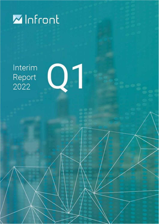

Interim Report 2022

 $Q<sub>1</sub>$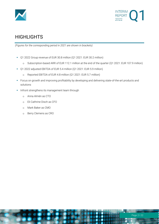



# **HIGHLIGHTS**

*(Figures for the corresponding period in 2021 are shown in brackets)* 

- Q1 2022 Group revenue of EUR 30.8 million (Q1 2021: EUR 30.2 million)
	- o Subscription-based ARR of EUR 112.1 million at the end of the quarter (Q1 2021: EUR 107.9 million)
- Q1 2022 adjusted EBITDA of EUR 5.4 million (Q1 2021: EUR 5.9 million)
	- o Reported EBITDA of EUR 4.8 million (Q1 2021: EUR 5.7 million)
- Focus on growth and improving profitability by developing and delivering state-of-the-art products and solutions
- **·** Infront strengthens its management team through
	- o Anna Almén as CTO
	- o Eli Cathrine Disch as CFO
	- o Mark Baker as CMO
	- o Berry Clemens as CRO

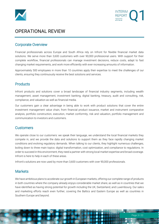



# OPERATIONAL REVIEW

## Corporate Overview

Financial professionals across Europe and South Africa rely on Infront for flexible financial market data solutions. We serve more than 3,600 customers with over 90,000 professional users. With support for their complete workflow, financial professionals can manage investment decisions, reduce costs, adapt to fast changing market requirements, and work more efficiently with ever-increasing amounts of information.

Approximately 500 employees in more than 10 countries apply their expertise to meet the challenges of our clients, ensuring they continuously receive the best solutions and services.

## **Products**

Infront products and solutions cover a broad landscape of financial industry segments, including wealth management, asset management, investment banking, digital banking, treasury, audit and consulting, risk, compliance, and valuation as well as financial media.

Our customers gain a clear advantage in being able to work with product solutions that cover the entire investment management value chain, from financial product issuance, market and instrument comparative analysis, portfolio construction, execution, market conformity, risk and valuation, portfolio management and communication to investors and customers.

## **Customers**

We operate close to our customers: we speak their language, we understand the local financial markets they compete in, and we provide the data and solutions to support them as they face rapidly changing market conditions and evolving regulatory demands. When talking to our clients, they highlight numerous challenges, boiling down to three main topics: digital transformation, cost optimization, and compliance to regulations. In order to succeed in this environment, they need a partner with strong local market expertise and broad coverage. Infront is here to help in each of these areas.

Infront's solutions are now used by more than 3,600 customers with over 90,000 professionals.

## **Markets**

We have ambitious plans to accelerate our growth in European markets, offering our complete range of products in both countries where the company already enjoys considerable market share, as well as in countries that we have identified as having strong potential for growth including the UK, Switzerland, and Luxembourg. Our sales and marketing efforts reach even further, covering the Baltics and Eastern Europe as well as countries in Southern Europe and beyond.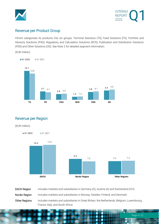



## Revenue per Product Group

Infront categorises its products into six groups: Terminal Solutions (TS), Feed Solutions (FS), Portfolio and Advisory Solutions (PAS), Regulatory and Calculation Solutions (RCS), Publication and Distribution Solutions (PDS) and Other Solutions (OS). See Note 2 for detailed segment information.

(EUR million)



Revenue per Region

(EUR million)



| DACH Region   | includes markets and subsidiaries in Germany (D), Austria (A) and Switzerland (CH).       |
|---------------|-------------------------------------------------------------------------------------------|
| Nordic Region | includes markets and subsidiaries in Norway, Sweden, Finland, and Denmark.                |
| Other Regions | includes markets and subsidiaries in Great Britain, the Netherlands, Belgium, Luxembourg, |
|               | France, Italy, and South Africa.                                                          |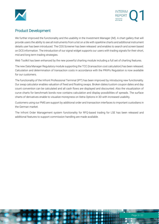



## Product Development

We further improved the functionality and the usability in the Investment Manager (IM). A chart gallery that will provide users the ability to see all instruments from a list on a tile with sparkline charts and additional instrument details user has been introduced. The CDS Screener has been released and enables to search and screen based on DCS information. The introduction of our signal widget supports our users with trading signals for their short, mid and long term trading strategies.

Web Toolkit has been enhanced by the new powerful charting module including a full set of charting features.

The new Data Manager Regulatory module supporting the TCC (transaction cost calculation) has been released. Calculation and determination of transaction costs in accordance with the PRIIPs Regulation is now available for our customers.

The functionality of the Infront Professional Terminal (IPT) has been improved by introducing new functionality. Our swap calculator enables valuation of fixed and floating swaps. Broken dates/custom coupon dates and day count convention can be calculated and all cash flows are displayed and discounted. Also the visualization of curve charts for benchmark bonds now contains calculation and display possibilities of spreads. The surface charts of derivatives enable to visualize moneyness on Xetra Options in 3D with increased usability.

Customers using our PMS are support by additional order and transaction interfaces to important custodians in the German market.

The Infront Order Management system functionality for RFQ-based trading for LSE has been released and additional features to support commission handling are made available.

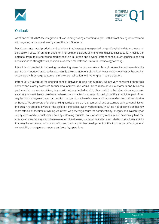



## **Outlook**

As of end of Q1 2022, the integration of vwd is progressing according to plan, with Infront having delivered and still targeting various cost-savings over the next 9 months.

Developing integrated products and solutions that leverage the expanded range of available data sources and services will allow Infront to provide terminal solutions across all markets and asset classes to fully realise the potential from its strengthened market position in Europe and beyond. Infront continuously considers add-on acquisitions to strengthen its position in selected markets and its overall technology offering.

Infront is committed to delivering outstanding value to its customers through innovative and user-friendly solutions. Continued product development is a key component of the business strategy together with pursuing organic growth, synergy capture and market consolidation to drive long-term value creation.

Infront is fully aware of the ongoing conflict between Russia and Ukraine. We are very concerned about this conflict and closely follow its further development. We would like to reassure our customers and business partners that our service delivery is and will not be affected at all by this conflict or by international economic sanctions against Russia. We have reviewed our organizational setup in the light of this conflict as part of our regular risk management and can confirm that we do not have business-critical dependencies in either Ukraine or Russia. We are aware of and are taking particular care of our personnel and customers with personal ties to the area. We are also aware of the generally increased cyber-warfare activity but do not observe significantly more attacks at the time of writing. At Infront we generally ensure the confidentiality, integrity and availability of our systems and our customers' data by enforcing multiple levels of security measures to proactively limit the attack surface of our systems to a minimum. Nonetheless, we have created custom alerts to detect any activity that may be associated with this conflict and track any further development on this topic as part of our general vulnerability management process and security operations.

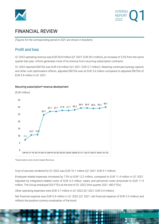



# FINANCIAL REVIEW

*(Figures for the corresponding period in 2021 are shown in brackets*)

## Profit and loss

Q1 2022 operating revenue was EUR 30.8 million (Q1 2021: EUR 30.2 million), an increase of 2.0% from the same quarter last year. Infront generates most of its revenue from recurring subscription contracts.

Q1 2022 reported EBITDA was EUR 4.8 million (Q1 2021: EUR 5.7 million). Realizing continued synergy capture and other cost optimisation effects, adjusted EBITDA was at EUR 5.4 million compared to adjusted EBITDA of EUR 5.9 million in Q1 2021.

### (EUR million) 35  $30.1$ 29.5 29.5 29.2 29.3 27.1 27.1 27.8 27.7 28.2  $30$ 24.7 25 -20  $15$ 10.7 10  $10$  $7:$  $\overline{5}$  $\overline{0}$ Q4-18 Q1-19 Q2-19 Q3-19 Q4-19 Q1-20 Q2-20 Q3-20 Q4-20 Q1-21 Q2-21 Q3-21 Q4-21 Q1-22

### Recurring subscription\* revenue development

\*Subscription and volume-based Revenue

Cost of services rendered for Q1 2022 was EUR 10.1 million (Q1 2021: EUR 9.7 million).

Employee-related expenses increased by 7.0% to EUR 12.2 million, compared to EUR 11.4 million in Q1 2021. Adjusted by integration-related costs of EUR 0.3 million, salary and personnel costs amounted to EUR 11.9 million. The Group employed 532 FTEs at the end of Q1 2022 (first quarter 2021: 483 FTEs).

Other operating expenses were EUR 3.7 million in Q1 2022 (Q1 2021: EUR 3.4 million).

Net financial expense was EUR 0.4 million in Q1 2022 (Q1 2021: net financial expense of EUR 2.5 million) and reflects the positive currency revaluation of the bond.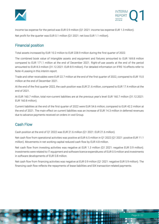



Income tax expense for the period was EUR 0.9 million (Q1 2021: income tax expense EUR 1.3 million). Net profit for the quarter was EUR 0.1 million (Q1 2021: net loss EUR 1.1 million).

## Financial position

Total assets increased by EUR 10.2 million to EUR 228.9 million during the first quarter of 2022.

The combined book value of Intangible assets and equipment and fixtures amounted to EUR 169.8 million compared to EUR 171.1 million at the end of December 2021. Right-of-use assets at the end of the period amounted to EUR 8.3 million (31.12.2021: EUR 8.9 million). For detailed information on IFRS 16 effects refer to Note 4 Leasing in this interim report.

Trade and other receivables were EUR 22.7 million at the end of the first quarter of 2022, compared to EUR 15.0 million at the end of December 2021.

At the end of the first quarter 2022, the cash position was EUR 21.6 million, compared to EUR 17.4 million at the end of 2021.

At EUR 160.7 million, total non-current liabilities are at the previous year's level EUR 160.7 million (31.12.2021: EUR 160.8 million).

Current liabilities at the end of the first quarter of 2022 were EUR 54.6 million, compared to EUR 42.2 million at the end of 2021. The main effect on current liabilities was an increase of EUR 14.3 million in deferred revenues due to advance payments received on orders in vwd Group.

## Cash Flow

Cash position at the end of Q1 2022 was EUR 21.6 million (Q1 2021: EUR 21.6 million).

Net cash flow from operational activities was positive at EUR 6.5 million in Q1 2022 (Q1 2021: positive EUR 11.1 million). Movements in net working capital reduced cash flow by EUR 4.8 million.

Net cash flow from investing activities was negative at EUR 1.3 million (Q1 2021: negative EUR 0.9 million). Investments were related to IT equipment and software licence expenditures of EUR 0.5 million and investments in software developments of EUR 0.8 million.

Net cash flow from financing activities was negative at EUR 0.9 million (Q1 2021: negative EUR 5.9 million). The financing cash flow reflects the repayments of lease liabilities and SIX transaction-related payments.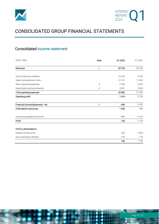



# CONSOLIDATED GROUP FINANCIAL STATEMENTS

## Consolidated income statement

| (EUR 1.000)                       | Note         | Q1 2022 | Q1 2021 |
|-----------------------------------|--------------|---------|---------|
| Revenues                          | $\mathbf{2}$ | 30756   | 30 195  |
|                                   |              |         |         |
| Cost of services rendered         |              | 10 142  | 9720    |
| Salary and personnel costs        |              | 12 167  | 11 405  |
| Other operating expenses          | 4            | 3736    | 3 4 4 3 |
| Depreciation and amortisation     | 4            | 3 3 3 1 | 3024    |
| Total operating expenses          |              | 29 2 82 | 27 490  |
| Operating profit                  |              | 1474    | 2705    |
| Financial income/(expenses) - net | 4,           | $-439$  | $-2525$ |
| Profit before income tax          |              | 1035    | 180     |
| Income tax (expense)/income       |              | $-889$  | $-1315$ |
| Profit                            |              | 146     | $-1135$ |
| Profit is attributable to:        |              |         |         |
| Owners of Infront AS              |              | $-228$  | $-1854$ |
| Non-controlling interests         |              | 374     | 719     |
|                                   |              | 146     | $-1135$ |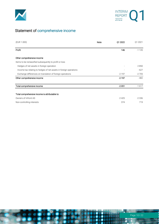



# Statement of comprehensive income

| (EUR 1.000)                                                       | Note | Q1 2022 | Q1 2021 |
|-------------------------------------------------------------------|------|---------|---------|
| Profit                                                            |      | 146     | $-1135$ |
| Other comprehensive income                                        |      |         |         |
| Items to be reclassified subsequently to profit or loss           |      |         |         |
| Hedges of net assets in foreign operation                         |      |         | 2850    |
| Income tax relating to hedges of net assets in foreign operations |      |         | $-627$  |
| Exchange differences on translation of foreign operations         |      | $-2197$ | $-2705$ |
| Other comprehensive income                                        |      | $-2197$ | $-482$  |
| Total comprehensive income                                        |      | $-2051$ | $-1617$ |
| Total comprehensive income is attributable to:                    |      |         |         |
| Owners of Infront AS                                              |      | $-2425$ | $-2336$ |
| Non-controlling interests                                         |      | 374     | 719     |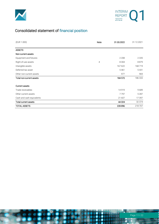



# Consolidated statement of financial position

| (EUR 1.000)               | Note | 31.03.2022 | 31.12.2021 |
|---------------------------|------|------------|------------|
|                           |      |            |            |
| <b>ASSETS</b>             |      |            |            |
| Non-current assets        |      |            |            |
| Equipment and fixtures    |      | 2 2 0 8    | 2 3 3 5    |
| Right-of-use assets       | 4    | 8 3 0 4    | 8879       |
| Intangible assets         |      | 167 622    | 168719     |
| Deferred tax asset        |      | 5461       | 5431       |
| Other non-current assets  |      | 977        | 969        |
| Total non-current assets  |      | 184 572    | 186 333    |
|                           |      |            |            |
| <b>Current assets</b>     |      |            |            |
| Trade receivables         |      | 14919      | 9689       |
| Other current assets      |      | 7797       | 5 2 8 7    |
| Cash and cash equivalents |      | 21 607     | 17397      |
| Total current assets      |      | 44 324     | 32 374     |
| TOTAL ASSETS              |      | 228 896    | 218 707    |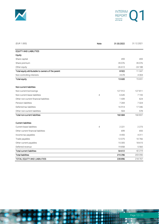



| (EUR 1.000)                                       | Note | 31.03.2022 | 31.12.2021 |
|---------------------------------------------------|------|------------|------------|
| <b>EQUITY AND LIABILITIES</b>                     |      |            |            |
| Equity                                            |      |            |            |
| Share capital                                     |      | 459        | 459        |
| Share premium                                     |      | 35 0 76    | 35 0 76    |
| Other equity                                      |      | $-26613$   | $-24188$   |
| Total equity attributable to owners of the parent |      | 8922       | 11 347     |
| Non-controlling interests                         |      | 4678       | 4 3 0 4    |
| <b>Total equity</b>                               |      | 13 600     | 15651      |
| Non-current liabilities                           |      |            |            |
| Non-current borrowings                            |      | 127 912    | 127811     |
| Non-current lease liabilities                     | 4    | 6645       | 7155       |
| Other non-current financial liabilities           |      | 1439       | 624        |
| Pension liabilities                               |      | 7 2 6 9    | 7 3 2 4    |
| Deferred tax liabilities                          |      | 16914      | 17346      |
| Other non-current liabilities                     |      | 504        | 578        |
| <b>Total non-current liabilities</b>              |      | 160 684    | 160 837    |
| <b>Current liabilities</b>                        |      |            |            |
| Current lease liabilities                         | 4    | 2 2 2 1    | 2 2 7 3    |
| Other current financial liabilities               |      | 699        | 693        |
| Income tax payables                               |      | 4455       | 4311       |
| Trade payables                                    |      | 12075      | 10766      |
| Other current payables                            |      | 15 3 05    | 18615      |
| Deferred revenue                                  |      | 19858      | 5 5 6 0    |
| <b>Total current liabilities</b>                  |      | 54 612     | 42 219     |
| <b>Total liabilities</b>                          |      | 215 296    | 203 056    |
| TOTAL EQUITY AND LIABILITIES                      |      | 228 896    | 218 707    |

 $\bullet$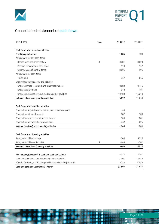



## Consolidated statement of cash flows

| (EUR 1.000)                                                                                                           | Note | Q1 2022 | Q1 2021 |
|-----------------------------------------------------------------------------------------------------------------------|------|---------|---------|
| Cash flows from operating activities                                                                                  |      |         |         |
| Profit (loss) before tax                                                                                              |      | 1035    | 180     |
| Adjustments for non-cash items                                                                                        |      |         |         |
| Depreciation and amortisation                                                                                         | 4    | 3 3 3 1 | 3024    |
| Pension items without cash effect                                                                                     |      | 110     | 147     |
| Other non-cash financial items                                                                                        |      | $-2006$ | 996     |
| Adjustments for cash items                                                                                            |      |         |         |
| Taxes paid                                                                                                            |      | $-767$  | $-656$  |
| Change in operating assets and liabilities                                                                            |      |         |         |
| Change in trade receivable and other receivables                                                                      |      | $-8022$ | -8 445  |
| Change in provisions                                                                                                  |      | $-342$  | $-401$  |
| Change in deferred revenue, trade and other payables                                                                  |      | 13 1 83 | 16 218  |
| Net cash inflow from operating activities                                                                             |      | 6522    | 11 063  |
| Cash flows from investing activities                                                                                  |      |         |         |
| Payment for acquisition of subsidiary, net of cash acquired                                                           |      | - 44    |         |
| Payment for intangible assets                                                                                         |      | $-382$  | $-130$  |
| Payment for property, plant and equipment                                                                             |      | $-108$  | $-231$  |
| Payment for software development cost                                                                                 |      | $-752$  | $-525$  |
| Net cash (outflow) from investing activities                                                                          |      | $-1286$ | $-886$  |
| Cash flows from financing activities                                                                                  |      |         |         |
| Repayments of borrowings                                                                                              |      | $-205$  | $-5215$ |
| Repayments of lease liabilities                                                                                       | 4    | $-688$  | $-701$  |
| Net cash inflow from financing activities                                                                             |      | $-893$  | $-5916$ |
| Net increase/(decrease) in cash and cash equivalents                                                                  |      | 4 3 4 3 | 4 2 6 1 |
|                                                                                                                       |      | 17397   | 18419   |
| Cash and cash equivalents at the beginning of period<br>Effects of exchange rate changes on cash and cash equivalents |      | $-133$  | $-1043$ |
| Cash and cash equivalents on 31 March                                                                                 |      | 21 607  | 21 637  |
|                                                                                                                       |      |         |         |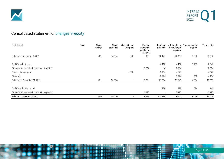



# Consolidated statement of changes in equity

| (EUR 1.000)                               | Note | Share<br>capital | Share<br>premium | <b>Share Option</b><br>program | Foreign<br>exchange<br>translation<br>reserve | Retained<br>Earnings | the owners of<br>the parent | Attributable to Non-controlling<br>interest | Total equity |
|-------------------------------------------|------|------------------|------------------|--------------------------------|-----------------------------------------------|----------------------|-----------------------------|---------------------------------------------|--------------|
| Balance as of January 1, 2021             |      | 459              | 35 0 76          | 873                            | 187                                           | $-10177$             | 26 417                      | 3585                                        | 30 002       |
| Profit/loss for the year                  |      |                  |                  |                                |                                               | $-4155$              | $-4155$                     | 1 4 0 9                                     | $-2746$      |
| Other comprehensive income for the period |      |                  |                  |                                | $-2858$                                       | $-6$                 | $-2864$                     |                                             | $-2864$      |
| Share option program                      |      |                  |                  | $-873$                         |                                               | $-3404$              | $-4277$                     |                                             | $-4277$      |
| Dividends                                 |      |                  |                  |                                |                                               | $-3774$              | $-3774$                     | $-690$                                      | $-4464$      |
| Balance on December 31, 2021              |      | 459              | 35076            |                                | $-2671$                                       | $-21516$             | 11 347                      | 4 3 0 4                                     | 15 6 51      |
| Profit/loss for the period                |      |                  |                  |                                |                                               | $-228$               | $-228$                      | 374                                         | 146          |
| Other comprehensive income for the period |      |                  |                  |                                | $-2197$                                       | $\overline{a}$       | $-2197$                     |                                             | $-2197$      |
| Balance on March 31, 2022                 |      | 459              | 35076            |                                | $-4868$                                       | $-21744$             | 8922                        | 4678                                        | 13600        |

Page 14 | 22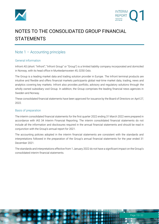



# NOTES TO THE CONSOLIDATED GROUP FINANCIAL STATEMENTS

## Note 1 – Accounting principles

### General information

Infront AS (short: "Infront"; "Infront Group" or "Group") is a limited liability company incorporated and domiciled in Norway, with its head office in Munkedamsveien 45, 0250 Oslo.

The Group is a leading market data and trading solution provider in Europe. The Infront terminal products are intuitive and flexible and offers financial markets participants global real-time market data, trading, news and analytics covering key markets. Infront also provides portfolio, advisory and regulatory solutions through the wholly owned subsidiary vwd Group. In addition, the Group comprises the leading financial news agencies in Sweden and Norway.

These consolidated financial statements have been approved for issuance by the Board of Directors on April 27, 2022.

### Basis of preparation

The interim consolidated financial statements for the first quarter 2022 ending 31 March 2022 were prepared in accordance with IAS 34 Interim Financial Reporting. The interim consolidated financial statements do not include all the information and disclosures required in the annual financial statements and should be read in conjunction with the Group's annual report for 2021.

The accounting policies adopted in the interim financial statements are consistent with the standards and interpretations followed in the preparation of the Group's annual financial statements for the year ended 31 December 2021.

The standards and interpretations effective from 1 January 2022 do not have a significant impact on the Group's consolidated interim financial statements.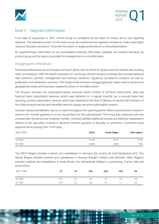



## Note 2 – Segment information

From date of acquisition in 2021, Infront Group is considered by the board of Infront AS as one reporting segment. The operating results for the entire group are monitored and regularly reviewed to make meaningful resource allocation decisions. Financial information is largely presented on a consolidated basis.

As supplementary information to the consolidated financial information package, the revenue allocation by product group and by region is provided to management on a monthly basis.

### Disaggregation of Revenues

Financial professionals across Europe and South Africa rely on Infront for global real-time market data, trading, news, and analytics. With the recent acquisition of vwd Group, Infront's product coverage also includes data and feed solutions, portfolio management and advisory solutions, regulatory compliance solutions as well as publication and distribution solutions. The Group's total revenue is disaggregated by major revenue streams by geographical areas and by product segments shown in the tables below.

The Group's revenues are subscription-based revenues which consist of terminal subscription, data and financial news subscription revenues which were obtained on a regular monthly (up to annual) basis and recurring; solution subscription revenue which was obtained by the time of delivery of service with inclusion of the initial entrance service and thereafter become regular recurring subscription revenue.

Contract assets and liabilities vary to an extent throughout the reporting period. Most customers are invoiced in advance for monthly quarterly or on an annual basis for the subscriptions. The Group has customers who are invoiced after the service are rendered monthly. Contract liabilities (deferred income) are therefore registered in relation to the payments invoiced in advance monthly quarterly or annually to customers. Customers have payment terms varying from 14-45 days.

| (EUR 1.000) | <b>DACH</b> | Nordic Region | Other regions |
|-------------|-------------|---------------|---------------|
| Q1 2022     | 15 3 5 5    | 8 2 7 7       | 7125          |
| Q1 2021     | 15894       | 6965          | 7336          |

The DACH Region includes markets and subsidiaries in Germany (D), Austria (A) and Switzerland (CH). The Nordic Region includes markets and subsidiaries in Norway, Sweden, Finland and Denmark. Other Regions includes markets and subsidiaries in Great Britain, the Netherlands, Belgium, Luxembourg, France, Italy and South Africa.

| (EUR 1.000) | TS   | FS  | <b>PAS</b> | <b>RCS</b> | <b>PDS</b>     | <b>OS</b> |
|-------------|------|-----|------------|------------|----------------|-----------|
| Q1 2022     | 14.1 | 4.1 | 2.8        | 5. ا       | 3.8            | 4.5       |
| Q1 2021     | 12.8 | 3.7 | 3.0        | , 6        | 4 <sup>1</sup> | 5.0       |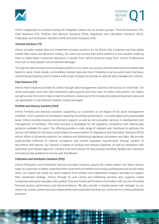



Infront categorises its products during the integration phase into six product groups: Terminal Solutions (TS), Feed Solutions (FS), Portfolio and Advisory Solutions (PAS), Regulatory and Calculation Solutions (RCS), Publication and Distribution Solutions (PDS) and Other Solutions (OS).

### *Terminal Solutions (TS)*

Infront provides market data and investment process solutions for its clients that combines real-time global market data, news, and electronic trading. Our users can access their entire workflow in one solution, enabling them to make better investment decisions in shorter time. Infront products range from "Infront Professional Terminal" to cloud based "vwd Investment Manager".

Through the web-browser and cloud-based platforms our users can access real-time and historical market data feeds for stock, funds, bonds, commodities, interest rates and more. Flexibility to set-up customized interfaces, monitoring and alerting, and to install a wide range of plugins to provide an optimal data management solution.

### *Feed Solutions (FS)*

Infront Feed Solutions provides its clients through data management solutions with access to more than 120 stock exchanges, more than 500 contributory data sources and more than 18 million instruments. Our clients can get access from end-of-day to real-time delivery, receive up-to-the minute price data and business news and can participate in cost efficient modular content packages.

### *Portfolio and Advisory Solutions (PAS)*

Infront Portfolio and Advisory solutions supporting our customers on all stages of the asset management workflow - from customer on-boarding to reporting of portfolio performance - on a fully digital and customisable basis. Infront provides process and advisory support, as well as risk evaluation services, in development and management of portfolios. The entire process is developed for full regulatory compliance with step-by-step guidance available for users. The offering provides a wide range of relevant user interfaces to optimise the service, with ability for individual customization to ensure perfect fit. Regulatory and Calculation Solutions (RCS) Infront offers a full-service platform for creating and distributing regulatory documents and data. We provide audit-proofed fulfilment of internal compliance and market regulation requirements through creation of documents and reports. Our Solution is based on product and industry expertise, as well as interaction with authorities and relevant agencies. Intuitive front-end solution for easy process handling, flexible user interfaces and step-by-step guidance to ensure user friendliness.

### *Publication and Distribution Solutions (PDS)*

Infront Publication and Distribution Services provides solutions around the media market. Our News Service helps its customers to better understand the movements of markets and reviews professional and social media news. Our clients can utilize our news-research from brokers and independent research providers to support their investment strategy. Infront, through its vwd Listing and Publishing services, also supports media companies and asset managers who publish fund and market performance information with our pre-formatted financial product performance and documentations. We also provide a module-based web manager so our clients can create custom fund and market performance portraits that they can use for print or online publication purposes.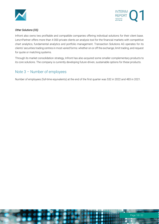



### *Other Solutions (OS)*

Infront also owns two profitable and compatible companies offering individual solutions for their client base. Lenz+Partner offers more than 4 000 private clients an analysis tool for the financial markets with competitive chart analytics, fundamental analytics and portfolio management. Transaction Solutions AG operates for its clients' securities trading centres in most varied forms: whether on or off the exchange, limit trading, and request for quote or matching systems.

Through its market consolidation strategy, Infront has also acquired some smaller complementary products to its core solutions. The company is currently developing future-driven, sustainable options for these products.

## Note 3 – Number of employees

Number of employees (full-time equivalents) at the end of the first quarter was 532 in 2022 and 483 in 2021.

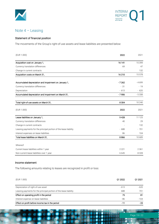



## Note 4 – Leasing

### Statement of financial position

The movements of the Group's right-of-use assets and lease liabilities are presented below:

| (EUR 1.000)                                                       | 2022    | 2021     |
|-------------------------------------------------------------------|---------|----------|
| Acquisition cost on January 1,                                    | 16 141  | 15 3 9 9 |
| Currency translation differences                                  | 69      | 47       |
| Change in current contracts                                       |         | 132      |
| Acquisition costs on March 31,                                    | 16 210  | 15 578   |
| Accumulated depreciation and impairment on January 1,             | $-7262$ | $-4699$  |
| Currency translation differences                                  | $-31$   | $-19$    |
| Depreciation                                                      | $-613$  | $-620$   |
| Accumulated depreciation and impairment on March 31,              | $-7906$ | $-5338$  |
| Total right-of-use assets on March 31,                            | 8 3 0 4 | 10 240   |
| (EUR 1.000)                                                       | 2022    | 2021     |
| Lease liabilities on January 1,                                   | 9428    | 11 1 25  |
| Currency translation differences                                  | 40      | 29       |
| Change in current contracts                                       |         | 132      |
| Leasing payments for the principal portion of the lease liability | $-688$  | $-701$   |
| Interest expenses on lease liabilities                            | 86      | 104      |
| Total lease liabilities on March 31,                              | 8866    | 10 689   |
| Whereof:                                                          |         |          |
| Current lease liabilities within 1 year                           | 2 2 2 1 | 2 3 6 1  |
| Non-current lease liabilities over 1 year                         | 6645    | 8328     |

### Income statement

The following amounts relating to leases are recognized in profit or loss:

| (EUR 1.000)                                                       | 01 2022 | 01 2021 |
|-------------------------------------------------------------------|---------|---------|
| Depreciation of right-of-use asset                                | $-613$  | $-620$  |
| Leasing payments for the principal portion of the lease liability | 688     | 701     |
| Effect on operating profit in the period                          | 75      | 81      |
| Interest expense on lease liabilities                             | - 86    | $-104$  |
| Effect on profit before income tax in the period                  | - 11    | - 23    |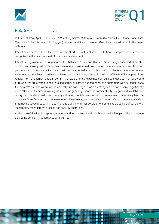



### Note 5 – Subsequent events

With effect from April 7, 2022, Zlatko Vucetic (Chairman), Sergio Ferrarini (Member), Eli Cathrine Rohr Disch (Member), Robert Andrew John Dagger (Member) and Robert Jeanbart (Member) were admitted to the Board of Directors.

Infront has determined that the effects of the COVID-19 outbreak continue to have no impact on the amounts recognized in the balance sheet of this financial statement.

Infront is fully aware of the ongoing conflict between Russia and Ukraine. We are very concerned about this conflict and closely follow its further development. We would like to reassure our customers and business partners that our service delivery is and will not be affected at all by this conflict or by international economic sanctions against Russia. We have reviewed our organizational setup in the light of this conflict as part of our regular risk management and can confirm that we do not have business-critical dependencies in either Ukraine or Russia. We are aware of and are taking particular care of our personnel and customers with personal ties to the area. We are also aware of the generally increased cyberwarfare activity but do not observe significantly more attacks at the time of writing. At Infront we generally ensure the confidentiality, integrity and availability of our systems and our customers' data by enforcing multiple levels of security measures to proactively limit the attack surface of our systems to a minimum. Nonetheless, we have created custom alerts to detect any activity that may be associated with this conflict and track any further development on this topic as part of our general vulnerability management process and security operations.

At the date of this interim report, management does not see significant threats to the Group's ability to continue as a going concern in accordance with IAS 10.

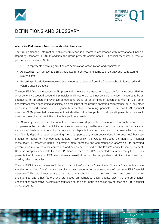



# DEFINITIONS AND GLOSSARY

### Alternative Performance Measures and certain terms used

The Group's financial information in this interim report is prepared in accordance with International Financial Reporting Standards (IFRS). In addition, the Group presents certain non-IFRS financial measures/alternative performance measures (APM):

- **EBITDA represents operating profit before depreciation, amortization, and impairment**
- Adjusted EBITDA represents EBITDA adjusted for non-recurring items such as M&A and restructuringrelated costs
- **•** Recurring subscription revenue represents operating revenue from the Group's subscription-based and volume-based products.

The non-IFRS financial measures/APM presented herein are not measurements of performance under IFRS or other generally accepted accounting principles and investors should not consider any such measures to be an alternative to: (a) operating revenues or operating profit (as determined in accordance with IFRS or other generally accepted accounting principles) as a measure of the Group's operating performance; or (b) any other measures of performance under generally accepted accounting principles. The non-IFRS financial measures/APM presented herein may not be indicative of the Group's historical operating results nor are such measures meant to be predictive of the Group's future results.

The Company believes that the non-IFRS measures/APM presented herein are commonly reported by companies in the markets in which it competes and are widely used by investors in comparing performance on a consistent basis without regard to factors such as depreciation amortization and impairment which can vary significantly depending upon accounting methods (particularly when acquisitions have occurred) business practice or based on non-operating factors. Accordingly, the Group discloses the non-IFRS financial measures/APM presented herein to permit a more complete and comprehensive analysis of its operating performance relative to other companies and across periods and of the Group's ability to service its debt. Because companies calculate the non-IFRS financial measures/APM presented herein differently the Group's presentation of these non-IFRS financial measures/APM may not be comparable to similarly titled measures used by other companies.

The non-IFRS financial measure/APM are not part of the Company's Consolidated Financial Statements and are thereby not audited. The Company can give no assurance as to the correctness of such non-IFRS financial measures/APM and investors are cautioned that such information involve known and unknown risks uncertainties and other factors and are based on numerous assumptions. Given the aforementioned uncertainties prospective investors are cautioned not to place undue reliance on any of these non-IFRS financial measures/APM.